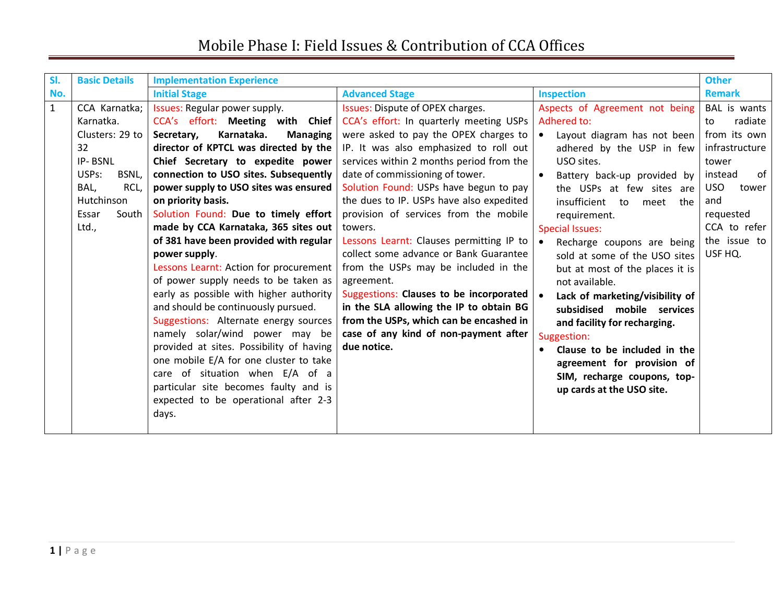| SI.          | <b>Basic Details</b>        | <b>Implementation Experience</b>            |                                          |                                 | <b>Other</b>        |
|--------------|-----------------------------|---------------------------------------------|------------------------------------------|---------------------------------|---------------------|
| No.          |                             | <b>Initial Stage</b>                        | <b>Advanced Stage</b>                    | <b>Inspection</b>               | <b>Remark</b>       |
| $\mathbf{1}$ | CCA Karnatka;               | Issues: Regular power supply.               | Issues: Dispute of OPEX charges.         | Aspects of Agreement not being  | BAL is wants        |
|              | Karnatka.                   | CCA's effort: Meeting with Chief            | CCA's effort: In quarterly meeting USPs  | Adhered to:                     | radiate<br>to       |
|              | Clusters: 29 to             | Karnataka.<br>Secretary,<br><b>Managing</b> | were asked to pay the OPEX charges to    | Layout diagram has not been     | from its own        |
|              | 32                          | director of KPTCL was directed by the       | IP. It was also emphasized to roll out   | adhered by the USP in few       | infrastructure      |
|              | IP-BSNL                     | Chief Secretary to expedite power           | services within 2 months period from the | USO sites.                      | tower               |
|              | USP <sub>S</sub> :<br>BSNL, | connection to USO sites. Subsequently       | date of commissioning of tower.          | Battery back-up provided by     | of<br>instead       |
|              | BAL,<br>RCL,                | power supply to USO sites was ensured       | Solution Found: USPs have begun to pay   | the USPs at few sites are       | <b>USO</b><br>tower |
|              | Hutchinson                  | on priority basis.                          | the dues to IP. USPs have also expedited | insufficient to<br>meet the     | and                 |
|              | South I<br>Essar            | Solution Found: Due to timely effort        | provision of services from the mobile    | requirement.                    | requested           |
|              | Ltd.,                       | made by CCA Karnataka, 365 sites out        | towers.                                  | <b>Special Issues:</b>          | CCA to refer        |
|              |                             | of 381 have been provided with regular      | Lessons Learnt: Clauses permitting IP to | Recharge coupons are being      | the issue to        |
|              |                             | power supply.                               | collect some advance or Bank Guarantee   | sold at some of the USO sites   | USF HQ.             |
|              |                             | Lessons Learnt: Action for procurement      | from the USPs may be included in the     | but at most of the places it is |                     |
|              |                             | of power supply needs to be taken as        | agreement.                               | not available.                  |                     |
|              |                             | early as possible with higher authority     | Suggestions: Clauses to be incorporated  | Lack of marketing/visibility of |                     |
|              |                             | and should be continuously pursued.         | in the SLA allowing the IP to obtain BG  | subsidised mobile services      |                     |
|              |                             | Suggestions: Alternate energy sources       | from the USPs, which can be encashed in  | and facility for recharging.    |                     |
|              |                             | namely solar/wind power may be              | case of any kind of non-payment after    | Suggestion:                     |                     |
|              |                             | provided at sites. Possibility of having    | due notice.                              | Clause to be included in the    |                     |
|              |                             | one mobile E/A for one cluster to take      |                                          | agreement for provision of      |                     |
|              |                             | care of situation when E/A of a             |                                          | SIM, recharge coupons, top-     |                     |
|              |                             | particular site becomes faulty and is       |                                          | up cards at the USO site.       |                     |
|              |                             | expected to be operational after 2-3        |                                          |                                 |                     |
|              |                             | days.                                       |                                          |                                 |                     |
|              |                             |                                             |                                          |                                 |                     |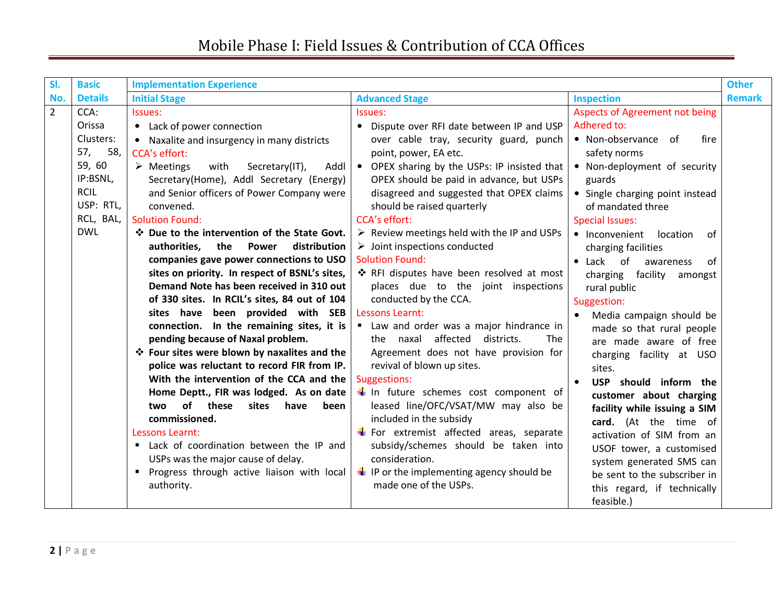| SI.            | <b>Basic</b>   | <b>Implementation Experience</b>                            |                                                            |                                  | <b>Other</b>  |
|----------------|----------------|-------------------------------------------------------------|------------------------------------------------------------|----------------------------------|---------------|
| No.            | <b>Details</b> | <b>Initial Stage</b>                                        | <b>Advanced Stage</b>                                      | <b>Inspection</b>                | <b>Remark</b> |
| $\overline{2}$ | CCA:           | Issues:                                                     | Issues:                                                    | Aspects of Agreement not being   |               |
|                | Orissa         | • Lack of power connection                                  | Dispute over RFI date between IP and USP<br>$\bullet$      | Adhered to:                      |               |
|                | Clusters:      | • Naxalite and insurgency in many districts                 | over cable tray, security guard, punch                     | • Non-observance of<br>fire      |               |
|                | 58,<br>57,     | <b>CCA's effort:</b>                                        | point, power, EA etc.                                      | safety norms                     |               |
|                | 59, 60         | $\triangleright$ Meetings<br>with<br>Secretary(IT),<br>Addl | • OPEX sharing by the USPs: IP insisted that               | • Non-deployment of security     |               |
|                | IP:BSNL,       | Secretary(Home), Addl Secretary (Energy)                    | OPEX should be paid in advance, but USPs                   | guards                           |               |
|                | <b>RCIL</b>    | and Senior officers of Power Company were                   | disagreed and suggested that OPEX claims                   | • Single charging point instead  |               |
|                | USP: RTL,      | convened.                                                   | should be raised quarterly                                 | of mandated three                |               |
|                | RCL, BAL,      | <b>Solution Found:</b>                                      | <b>CCA's effort:</b>                                       | <b>Special Issues:</b>           |               |
|                | <b>DWL</b>     | ❖ Due to the intervention of the State Govt.                | $\triangleright$ Review meetings held with the IP and USPs | location<br>• Inconvenient<br>of |               |
|                |                | authorities, the<br>Power<br>distribution                   | $\triangleright$ Joint inspections conducted               | charging facilities              |               |
|                |                | companies gave power connections to USO                     | <b>Solution Found:</b>                                     | • Lack of<br>awareness<br>0f     |               |
|                |                | sites on priority. In respect of BSNL's sites,              | ❖ RFI disputes have been resolved at most                  | charging facility<br>amongst     |               |
|                |                | Demand Note has been received in 310 out                    | places due to the joint inspections                        | rural public                     |               |
|                |                | of 330 sites. In RCIL's sites, 84 out of 104                | conducted by the CCA.                                      | Suggestion:                      |               |
|                |                | sites have been provided with SEB                           | Lessons Learnt:                                            | Media campaign should be         |               |
|                |                | connection. In the remaining sites, it is $ $               | Law and order was a major hindrance in                     | made so that rural people        |               |
|                |                | pending because of Naxal problem.                           | the naxal affected<br>districts.<br><b>The</b>             | are made aware of free           |               |
|                |                | ❖ Four sites were blown by naxalites and the                | Agreement does not have provision for                      | charging facility at USO         |               |
|                |                | police was reluctant to record FIR from IP.                 | revival of blown up sites.                                 | sites.                           |               |
|                |                | With the intervention of the CCA and the                    | Suggestions:                                               | USP should inform the            |               |
|                |                | Home Deptt., FIR was lodged. As on date                     | In future schemes cost component of                        | customer about charging          |               |
|                |                | of these<br>sites<br>have<br>two<br>been                    | leased line/OFC/VSAT/MW may also be                        | facility while issuing a SIM     |               |
|                |                | commissioned.                                               | included in the subsidy                                    | card. (At the time of            |               |
|                |                | Lessons Learnt:                                             | <b>T</b> For extremist affected areas, separate            | activation of SIM from an        |               |
|                |                | " Lack of coordination between the IP and                   | subsidy/schemes should be taken into                       | USOF tower, a customised         |               |
|                |                | USPs was the major cause of delay.                          | consideration.                                             | system generated SMS can         |               |
|                |                | • Progress through active liaison with local                | $\blacksquare$ IP or the implementing agency should be     | be sent to the subscriber in     |               |
|                |                | authority.                                                  | made one of the USPs.                                      | this regard, if technically      |               |
|                |                |                                                             |                                                            | feasible.)                       |               |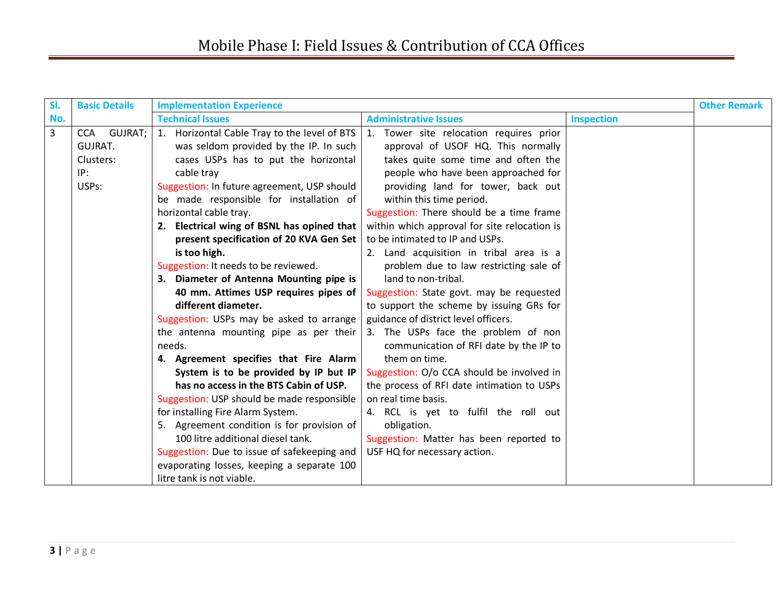| SI. | <b>Basic Details</b>    | <b>Implementation Experience</b>             |                                              |                   | <b>Other Remark</b> |
|-----|-------------------------|----------------------------------------------|----------------------------------------------|-------------------|---------------------|
| No. |                         | <b>Technical Issues</b>                      | <b>Administrative Issues</b>                 | <b>Inspection</b> |                     |
| 3   | GUJRAT;  <br><b>CCA</b> | 1. Horizontal Cable Tray to the level of BTS | 1.<br>Tower site relocation requires prior   |                   |                     |
|     | <b>GUJRAT.</b>          | was seldom provided by the IP. In such       | approval of USOF HQ. This normally           |                   |                     |
|     | Clusters:               | cases USPs has to put the horizontal         | takes quite some time and often the          |                   |                     |
|     | IP:                     | cable tray                                   | people who have been approached for          |                   |                     |
|     | USPs:                   | Suggestion: In future agreement, USP should  | providing land for tower, back out           |                   |                     |
|     |                         | be made responsible for installation of      | within this time period.                     |                   |                     |
|     |                         | horizontal cable tray.                       | Suggestion: There should be a time frame     |                   |                     |
|     |                         | 2. Electrical wing of BSNL has opined that   | within which approval for site relocation is |                   |                     |
|     |                         | present specification of 20 KVA Gen Set      | to be intimated to IP and USPs.              |                   |                     |
|     |                         | is too high.                                 | 2. Land acquisition in tribal area is a      |                   |                     |
|     |                         | Suggestion: It needs to be reviewed.         | problem due to law restricting sale of       |                   |                     |
|     |                         | 3. Diameter of Antenna Mounting pipe is      | land to non-tribal.                          |                   |                     |
|     |                         | 40 mm. Attimes USP requires pipes of         | Suggestion: State govt. may be requested     |                   |                     |
|     |                         | different diameter.                          | to support the scheme by issuing GRs for     |                   |                     |
|     |                         | Suggestion: USPs may be asked to arrange     | guidance of district level officers.         |                   |                     |
|     |                         | the antenna mounting pipe as per their       | 3. The USPs face the problem of non          |                   |                     |
|     |                         | needs.                                       | communication of RFI date by the IP to       |                   |                     |
|     |                         | 4. Agreement specifies that Fire Alarm       | them on time.                                |                   |                     |
|     |                         | System is to be provided by IP but IP        | Suggestion: O/o CCA should be involved in    |                   |                     |
|     |                         | has no access in the BTS Cabin of USP.       | the process of RFI date intimation to USPs   |                   |                     |
|     |                         | Suggestion: USP should be made responsible   | on real time basis.                          |                   |                     |
|     |                         | for installing Fire Alarm System.            | 4. RCL is yet to fulfil the roll out         |                   |                     |
|     |                         | 5. Agreement condition is for provision of   | obligation.                                  |                   |                     |
|     |                         | 100 litre additional diesel tank.            | Suggestion: Matter has been reported to      |                   |                     |
|     |                         | Suggestion: Due to issue of safekeeping and  | USF HQ for necessary action.                 |                   |                     |
|     |                         | evaporating losses, keeping a separate 100   |                                              |                   |                     |
|     |                         | litre tank is not viable.                    |                                              |                   |                     |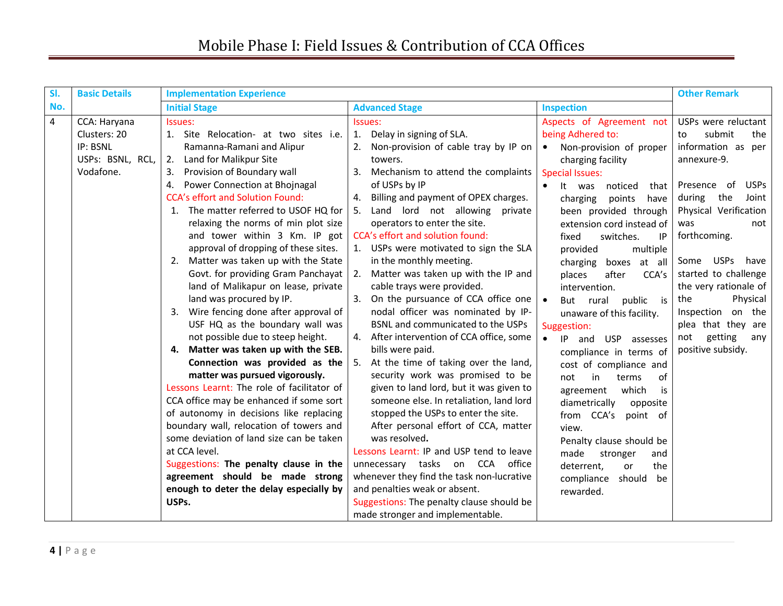| SI. | <b>Basic Details</b>                                                      | <b>Implementation Experience</b>                                                                                                                                                                                                                                                                                                                                                                                                                                                                                                                                                                                                                                                                                                                                                                                                                                                                                                                                                                                               |                                                                                                                                                                                                                                                                                                                                                                                                                                                                                                                                                                                                                                                                                                                                                                                                                                                                                                                                                                                                                                                                                                                                                                                                                                                                                                                                                                                                                                                                                                                                                                                                                                                                                                                                   | <b>Other Remark</b>                                                                                                                                                                                                                                                                                                                                                                   |
|-----|---------------------------------------------------------------------------|--------------------------------------------------------------------------------------------------------------------------------------------------------------------------------------------------------------------------------------------------------------------------------------------------------------------------------------------------------------------------------------------------------------------------------------------------------------------------------------------------------------------------------------------------------------------------------------------------------------------------------------------------------------------------------------------------------------------------------------------------------------------------------------------------------------------------------------------------------------------------------------------------------------------------------------------------------------------------------------------------------------------------------|-----------------------------------------------------------------------------------------------------------------------------------------------------------------------------------------------------------------------------------------------------------------------------------------------------------------------------------------------------------------------------------------------------------------------------------------------------------------------------------------------------------------------------------------------------------------------------------------------------------------------------------------------------------------------------------------------------------------------------------------------------------------------------------------------------------------------------------------------------------------------------------------------------------------------------------------------------------------------------------------------------------------------------------------------------------------------------------------------------------------------------------------------------------------------------------------------------------------------------------------------------------------------------------------------------------------------------------------------------------------------------------------------------------------------------------------------------------------------------------------------------------------------------------------------------------------------------------------------------------------------------------------------------------------------------------------------------------------------------------|---------------------------------------------------------------------------------------------------------------------------------------------------------------------------------------------------------------------------------------------------------------------------------------------------------------------------------------------------------------------------------------|
| No. |                                                                           | <b>Initial Stage</b>                                                                                                                                                                                                                                                                                                                                                                                                                                                                                                                                                                                                                                                                                                                                                                                                                                                                                                                                                                                                           | <b>Advanced Stage</b><br><b>Inspection</b>                                                                                                                                                                                                                                                                                                                                                                                                                                                                                                                                                                                                                                                                                                                                                                                                                                                                                                                                                                                                                                                                                                                                                                                                                                                                                                                                                                                                                                                                                                                                                                                                                                                                                        |                                                                                                                                                                                                                                                                                                                                                                                       |
| 4   | CCA: Haryana<br>Clusters: 20<br>IP: BSNL<br>USPs: BSNL, RCL,<br>Vodafone. | Issues:<br>1. Site Relocation- at two sites i.e.<br>Ramanna-Ramani and Alipur<br>Land for Malikpur Site<br>2.<br>Provision of Boundary wall<br>3.<br>Power Connection at Bhojnagal<br>4.<br><b>CCA's effort and Solution Found:</b><br>1. The matter referred to USOF HQ for<br>relaxing the norms of min plot size<br>and tower within 3 Km. IP got<br>approval of dropping of these sites.<br>2. Matter was taken up with the State<br>Govt. for providing Gram Panchayat<br>land of Malikapur on lease, private<br>land was procured by IP.<br>Wire fencing done after approval of<br>3.<br>USF HQ as the boundary wall was<br>not possible due to steep height.<br>Matter was taken up with the SEB.<br>4.<br>Connection was provided as the<br>matter was pursued vigorously.<br>Lessons Learnt: The role of facilitator of<br>CCA office may be enhanced if some sort<br>of autonomy in decisions like replacing<br>boundary wall, relocation of towers and<br>some deviation of land size can be taken<br>at CCA level. | Aspects of Agreement not<br>Issues:<br>being Adhered to:<br>Delay in signing of SLA.<br>1.<br>Non-provision of cable tray by IP on<br>2.<br>Non-provision of proper<br>$\bullet$<br>towers.<br>charging facility<br>Mechanism to attend the complaints<br>3.<br><b>Special Issues:</b><br>of USPs by IP<br>It was<br>noticed<br>that<br>Billing and payment of OPEX charges.<br>4.<br>points<br>charging<br>have<br>Land lord not allowing private<br>5.<br>been provided through<br>operators to enter the site.<br>extension cord instead of<br>CCA's effort and solution found:<br>fixed<br>switches.<br>ΙP<br>1. USPs were motivated to sign the SLA<br>provided<br>multiple<br>in the monthly meeting.<br>boxes at all<br>charging<br>Matter was taken up with the IP and<br>2.<br>places<br>after<br>CCA's<br>cable trays were provided.<br>intervention.<br>On the pursuance of CCA office one<br>3.<br>public<br>But rural<br>$\bullet$<br>is is<br>nodal officer was nominated by IP-<br>unaware of this facility.<br>BSNL and communicated to the USPs<br>Suggestion:<br>After intervention of CCA office, some<br>4.<br>IP and USP assesses<br>bills were paid.<br>compliance in terms of<br>At the time of taking over the land,<br>5.<br>cost of compliance and<br>security work was promised to be<br>not<br>in<br>of<br>terms<br>given to land lord, but it was given to<br>which<br>agreement<br>is<br>someone else. In retaliation, land lord<br>diametrically<br>opposite<br>stopped the USPs to enter the site.<br>from CCA's<br>point of<br>After personal effort of CCA, matter<br>view.<br>was resolved.<br>Penalty clause should be<br>Lessons Learnt: IP and USP tend to leave<br>made<br>stronger<br>and | USPs were reluctant<br>submit<br>the<br>to<br>information as per<br>annexure-9.<br><b>USPs</b><br>- of<br>Presence<br>the<br>Joint<br>during<br>Physical Verification<br>was<br>not<br>forthcoming.<br>Some USPs<br>have<br>started to challenge<br>the very rationale of<br>Physical<br>the<br>Inspection on the<br>plea that they are<br>getting<br>not<br>any<br>positive subsidy. |
|     |                                                                           | Suggestions: The penalty clause in the<br>agreement should be made strong<br>enough to deter the delay especially by<br>USPs.                                                                                                                                                                                                                                                                                                                                                                                                                                                                                                                                                                                                                                                                                                                                                                                                                                                                                                  | unnecessary tasks on CCA office<br>the<br>deterrent,<br>or<br>whenever they find the task non-lucrative<br>compliance<br>should<br>be<br>and penalties weak or absent.<br>rewarded.<br>Suggestions: The penalty clause should be                                                                                                                                                                                                                                                                                                                                                                                                                                                                                                                                                                                                                                                                                                                                                                                                                                                                                                                                                                                                                                                                                                                                                                                                                                                                                                                                                                                                                                                                                                  |                                                                                                                                                                                                                                                                                                                                                                                       |
|     |                                                                           |                                                                                                                                                                                                                                                                                                                                                                                                                                                                                                                                                                                                                                                                                                                                                                                                                                                                                                                                                                                                                                | made stronger and implementable.                                                                                                                                                                                                                                                                                                                                                                                                                                                                                                                                                                                                                                                                                                                                                                                                                                                                                                                                                                                                                                                                                                                                                                                                                                                                                                                                                                                                                                                                                                                                                                                                                                                                                                  |                                                                                                                                                                                                                                                                                                                                                                                       |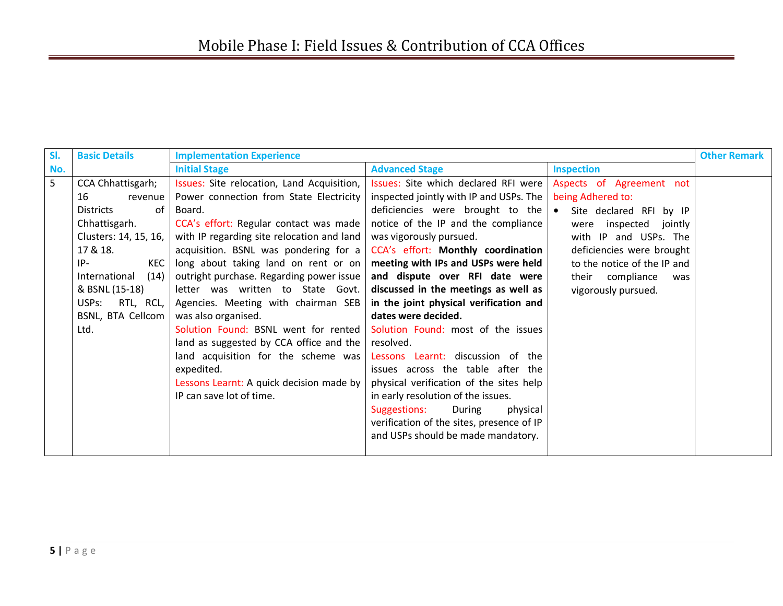| SI.            | <b>Basic Details</b>                                                                                                                                                                                                                                | <b>Implementation Experience</b>                                                                                                                                                                                                                                                                                                                                                                                                                                                                                                                                                                                                        |                                                                                                                                                                                                                                                                                                                                                                                                                                                                                                                                                                                                                                                                                                                                                      |                                                                                                                                                                                                                                                              | <b>Other Remark</b> |
|----------------|-----------------------------------------------------------------------------------------------------------------------------------------------------------------------------------------------------------------------------------------------------|-----------------------------------------------------------------------------------------------------------------------------------------------------------------------------------------------------------------------------------------------------------------------------------------------------------------------------------------------------------------------------------------------------------------------------------------------------------------------------------------------------------------------------------------------------------------------------------------------------------------------------------------|------------------------------------------------------------------------------------------------------------------------------------------------------------------------------------------------------------------------------------------------------------------------------------------------------------------------------------------------------------------------------------------------------------------------------------------------------------------------------------------------------------------------------------------------------------------------------------------------------------------------------------------------------------------------------------------------------------------------------------------------------|--------------------------------------------------------------------------------------------------------------------------------------------------------------------------------------------------------------------------------------------------------------|---------------------|
| No.            |                                                                                                                                                                                                                                                     | <b>Initial Stage</b>                                                                                                                                                                                                                                                                                                                                                                                                                                                                                                                                                                                                                    | <b>Advanced Stage</b>                                                                                                                                                                                                                                                                                                                                                                                                                                                                                                                                                                                                                                                                                                                                | <b>Inspection</b>                                                                                                                                                                                                                                            |                     |
| 5 <sup>5</sup> | CCA Chhattisgarh;<br>16<br>revenue  <br><b>Districts</b><br>of l<br>Chhattisgarh.<br>Clusters: 14, 15, 16,<br>17 & 18.<br>KEC  <br>$IP-$<br>International<br>(14)<br>& BSNL (15-18)<br>RTL, RCL,<br>USP <sub>S</sub> :<br>BSNL, BTA Cellcom<br>Ltd. | Issues: Site relocation, Land Acquisition,<br>Power connection from State Electricity<br>Board.<br>CCA's effort: Regular contact was made<br>with IP regarding site relocation and land<br>acquisition. BSNL was pondering for a<br>long about taking land on rent or on<br>outright purchase. Regarding power issue<br>letter was written to State Govt.<br>Agencies. Meeting with chairman SEB<br>was also organised.<br>Solution Found: BSNL went for rented<br>land as suggested by CCA office and the<br>land acquisition for the scheme was<br>expedited.<br>Lessons Learnt: A quick decision made by<br>IP can save lot of time. | Issues: Site which declared RFI were<br>inspected jointly with IP and USPs. The<br>deficiencies were brought to the<br>notice of the IP and the compliance<br>was vigorously pursued.<br>CCA's effort: Monthly coordination<br>meeting with IPs and USPs were held<br>and dispute over RFI date were<br>discussed in the meetings as well as<br>in the joint physical verification and<br>dates were decided.<br>Solution Found: most of the issues<br>resolved.<br>Lessons Learnt: discussion of the<br>issues across the table after the<br>physical verification of the sites help<br>in early resolution of the issues.<br>During<br>Suggestions:<br>physical<br>verification of the sites, presence of IP<br>and USPs should be made mandatory. | Aspects of Agreement not<br>being Adhered to:<br>Site declared RFI by IP<br>$\bullet$<br>inspected<br>jointly<br>were<br>with IP and USPs. The<br>deficiencies were brought<br>to the notice of the IP and<br>their compliance<br>was<br>vigorously pursued. |                     |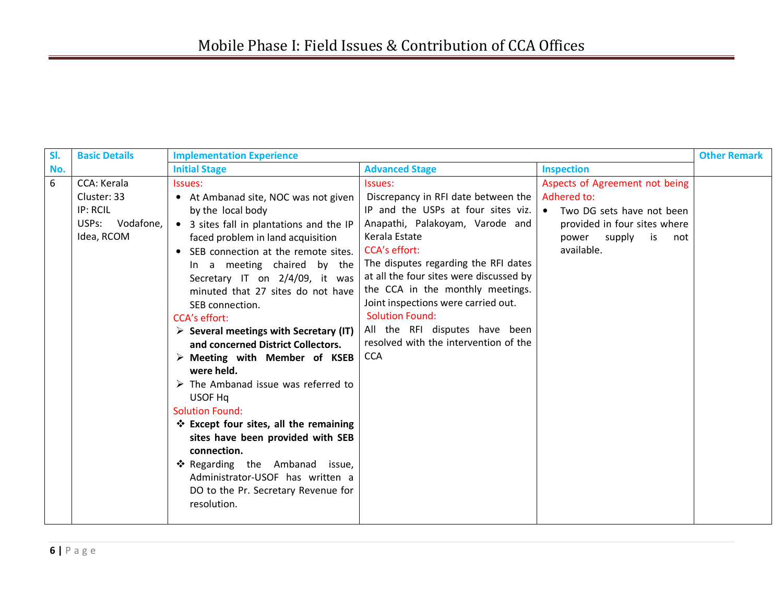| SI. | <b>Basic Details</b>                                                    | <b>Implementation Experience</b>                                                                                                                                                                                                                                                                                                                                                                                                                                                                                                                                                                                                                                                                                                                                                                                                                        |                                                                                                                                                                                                                                                                                                                                                                                                                                                                           |                                                                                                                                        | <b>Other Remark</b> |
|-----|-------------------------------------------------------------------------|---------------------------------------------------------------------------------------------------------------------------------------------------------------------------------------------------------------------------------------------------------------------------------------------------------------------------------------------------------------------------------------------------------------------------------------------------------------------------------------------------------------------------------------------------------------------------------------------------------------------------------------------------------------------------------------------------------------------------------------------------------------------------------------------------------------------------------------------------------|---------------------------------------------------------------------------------------------------------------------------------------------------------------------------------------------------------------------------------------------------------------------------------------------------------------------------------------------------------------------------------------------------------------------------------------------------------------------------|----------------------------------------------------------------------------------------------------------------------------------------|---------------------|
| No. |                                                                         | <b>Initial Stage</b>                                                                                                                                                                                                                                                                                                                                                                                                                                                                                                                                                                                                                                                                                                                                                                                                                                    | <b>Advanced Stage</b>                                                                                                                                                                                                                                                                                                                                                                                                                                                     | <b>Inspection</b>                                                                                                                      |                     |
| 6   | CCA: Kerala<br>Cluster: 33<br>IP: RCIL<br>USPs: Vodafone,<br>Idea, RCOM | Issues:<br>• At Ambanad site, NOC was not given<br>by the local body<br>3 sites fall in plantations and the IP<br>$\bullet$<br>faced problem in land acquisition<br>SEB connection at the remote sites.<br>$\bullet$<br>In a meeting chaired by the<br>Secretary IT on 2/4/09, it was<br>minuted that 27 sites do not have<br>SEB connection.<br><b>CCA's effort:</b><br>$\triangleright$ Several meetings with Secretary (IT)<br>and concerned District Collectors.<br>$\triangleright$ Meeting with Member of KSEB<br>were held.<br>$\triangleright$ The Ambanad issue was referred to<br>USOF Ha<br><b>Solution Found:</b><br>❖ Except four sites, all the remaining<br>sites have been provided with SEB<br>connection.<br>* Regarding the Ambanad issue,<br>Administrator-USOF has written a<br>DO to the Pr. Secretary Revenue for<br>resolution. | Issues:<br>Discrepancy in RFI date between the   Adhered to:<br>IP and the USPs at four sites viz. $\bullet$<br>Anapathi, Palakoyam, Varode and<br>Kerala Estate<br><b>CCA's effort:</b><br>The disputes regarding the RFI dates<br>at all the four sites were discussed by<br>the CCA in the monthly meetings.<br>Joint inspections were carried out.<br><b>Solution Found:</b><br>All the RFI disputes have been<br>resolved with the intervention of the<br><b>CCA</b> | Aspects of Agreement not being<br>Two DG sets have not been<br>provided in four sites where<br>supply is<br>power<br>not<br>available. |                     |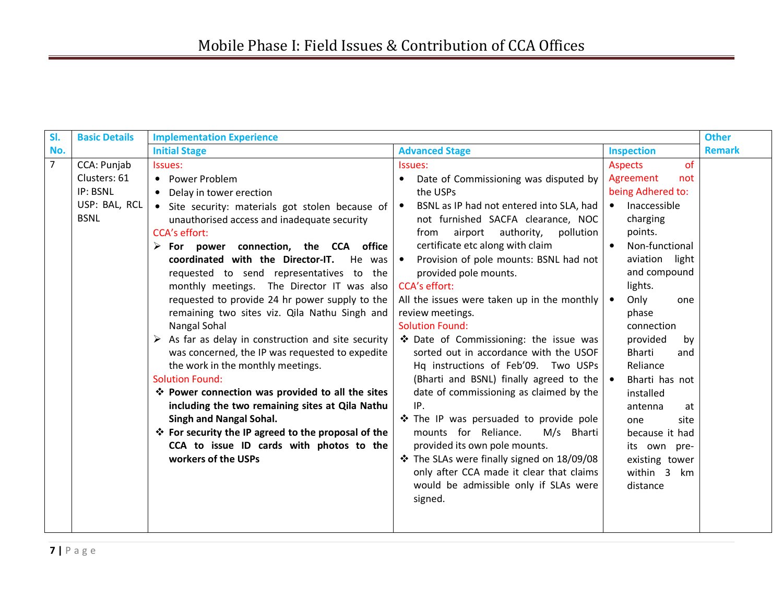| SI.            | <b>Basic Details</b>                                     | <b>Implementation Experience</b>                                                                                                                                                                                                                                                                                                                                                                                                                                                                                                                                                                                                                                                                                                                                                                                                                                                                                                       |                                                                                                                                                                                                                                                                                                                                                                                                                                                                                                                                                                                                                                                                                                                                                                                                                                                                                                              |                                                                                                                                                                                                                                                                                                                                                                                                                    | <b>Other</b>  |
|----------------|----------------------------------------------------------|----------------------------------------------------------------------------------------------------------------------------------------------------------------------------------------------------------------------------------------------------------------------------------------------------------------------------------------------------------------------------------------------------------------------------------------------------------------------------------------------------------------------------------------------------------------------------------------------------------------------------------------------------------------------------------------------------------------------------------------------------------------------------------------------------------------------------------------------------------------------------------------------------------------------------------------|--------------------------------------------------------------------------------------------------------------------------------------------------------------------------------------------------------------------------------------------------------------------------------------------------------------------------------------------------------------------------------------------------------------------------------------------------------------------------------------------------------------------------------------------------------------------------------------------------------------------------------------------------------------------------------------------------------------------------------------------------------------------------------------------------------------------------------------------------------------------------------------------------------------|--------------------------------------------------------------------------------------------------------------------------------------------------------------------------------------------------------------------------------------------------------------------------------------------------------------------------------------------------------------------------------------------------------------------|---------------|
| No.            |                                                          | <b>Initial Stage</b>                                                                                                                                                                                                                                                                                                                                                                                                                                                                                                                                                                                                                                                                                                                                                                                                                                                                                                                   | <b>Advanced Stage</b>                                                                                                                                                                                                                                                                                                                                                                                                                                                                                                                                                                                                                                                                                                                                                                                                                                                                                        | <b>Inspection</b>                                                                                                                                                                                                                                                                                                                                                                                                  | <b>Remark</b> |
| $\overline{7}$ | CCA: Punjab                                              | Issues:                                                                                                                                                                                                                                                                                                                                                                                                                                                                                                                                                                                                                                                                                                                                                                                                                                                                                                                                | Issues:                                                                                                                                                                                                                                                                                                                                                                                                                                                                                                                                                                                                                                                                                                                                                                                                                                                                                                      | of<br><b>Aspects</b>                                                                                                                                                                                                                                                                                                                                                                                               |               |
|                | Clusters: 61<br>IP: BSNL<br>USP: BAL, RCL<br><b>BSNL</b> | • Power Problem<br>Delay in tower erection<br>• Site security: materials got stolen because of<br>unauthorised access and inadequate security<br><b>CCA's effort:</b><br>$\triangleright$ For power connection, the CCA office<br>coordinated with the Director-IT. He was<br>requested to send representatives to the<br>monthly meetings. The Director IT was also<br>requested to provide 24 hr power supply to the<br>remaining two sites viz. Qila Nathu Singh and<br>Nangal Sohal<br>As far as delay in construction and site security<br>➤<br>was concerned, the IP was requested to expedite<br>the work in the monthly meetings.<br><b>Solution Found:</b><br>❖ Power connection was provided to all the sites<br>including the two remaining sites at Qila Nathu<br><b>Singh and Nangal Sohal.</b><br>❖ For security the IP agreed to the proposal of the<br>CCA to issue ID cards with photos to the<br>workers of the USPs | Date of Commissioning was disputed by<br>the USPs<br>BSNL as IP had not entered into SLA, had<br>not furnished SACFA clearance, NOC<br>airport<br>authority,<br>pollution<br>from<br>certificate etc along with claim<br>Provision of pole mounts: BSNL had not<br>provided pole mounts.<br><b>CCA's effort:</b><br>All the issues were taken up in the monthly<br>review meetings.<br><b>Solution Found:</b><br>❖ Date of Commissioning: the issue was<br>sorted out in accordance with the USOF<br>Hq instructions of Feb'09. Two USPs<br>(Bharti and BSNL) finally agreed to the $\bullet$<br>date of commissioning as claimed by the<br>IP.<br>The IP was persuaded to provide pole<br>mounts for Reliance.<br>M/s Bharti<br>provided its own pole mounts.<br>❖ The SLAs were finally signed on 18/09/08<br>only after CCA made it clear that claims<br>would be admissible only if SLAs were<br>signed. | Agreement<br>not<br>being Adhered to:<br>Inaccessible<br>charging<br>points.<br>Non-functional<br>$\bullet$<br>light<br>aviation<br>and compound<br>lights.<br>Only<br>one<br>$\bullet$<br>phase<br>connection<br>provided<br>by<br><b>Bharti</b><br>and<br>Reliance<br>Bharti has not<br>installed<br>antenna<br>at<br>site<br>one<br>because it had<br>its own pre-<br>existing tower<br>within 3 km<br>distance |               |
|                |                                                          |                                                                                                                                                                                                                                                                                                                                                                                                                                                                                                                                                                                                                                                                                                                                                                                                                                                                                                                                        |                                                                                                                                                                                                                                                                                                                                                                                                                                                                                                                                                                                                                                                                                                                                                                                                                                                                                                              |                                                                                                                                                                                                                                                                                                                                                                                                                    |               |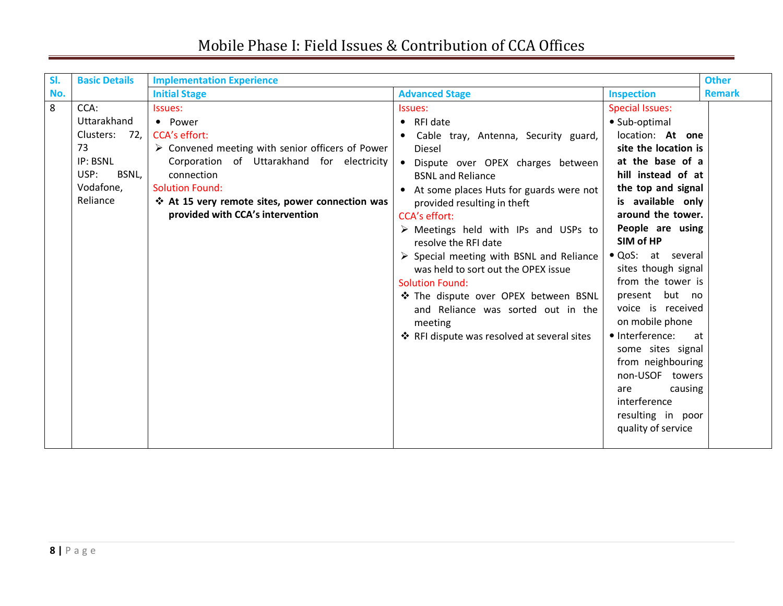| SI. | <b>Basic Details</b>                                                                                  | <b>Implementation Experience</b>                                                                                                                                                                                                                                                           |                                                                                                                                                                                                                                                                                                                                                                                                                                                                                                            |                                                                                                                                                                                                                                                                                                                   | <b>Other</b>  |
|-----|-------------------------------------------------------------------------------------------------------|--------------------------------------------------------------------------------------------------------------------------------------------------------------------------------------------------------------------------------------------------------------------------------------------|------------------------------------------------------------------------------------------------------------------------------------------------------------------------------------------------------------------------------------------------------------------------------------------------------------------------------------------------------------------------------------------------------------------------------------------------------------------------------------------------------------|-------------------------------------------------------------------------------------------------------------------------------------------------------------------------------------------------------------------------------------------------------------------------------------------------------------------|---------------|
| No. |                                                                                                       | <b>Initial Stage</b>                                                                                                                                                                                                                                                                       | <b>Advanced Stage</b>                                                                                                                                                                                                                                                                                                                                                                                                                                                                                      | <b>Inspection</b>                                                                                                                                                                                                                                                                                                 | <b>Remark</b> |
| 8   | CCA:<br>Uttarakhand<br>Clusters:<br>72, I<br>73<br>IP: BSNL<br>USP:<br>BSNL,<br>Vodafone,<br>Reliance | Issues:<br>• Power<br><b>CCA's effort:</b><br>$\triangleright$ Convened meeting with senior officers of Power<br>Corporation of Uttarakhand for electricity<br>connection<br><b>Solution Found:</b><br>❖ At 15 very remote sites, power connection was<br>provided with CCA's intervention | Issues:<br>RFI date<br>$\bullet$<br>Cable tray, Antenna, Security guard,<br>Diesel<br>Dispute over OPEX charges between<br><b>BSNL and Reliance</b><br>• At some places Huts for guards were not<br>provided resulting in theft<br><b>CCA's effort:</b><br>$\triangleright$ Meetings held with IPs and USPs to<br>resolve the RFI date<br>$\triangleright$ Special meeting with BSNL and Reliance<br>was held to sort out the OPEX issue<br><b>Solution Found:</b><br>❖ The dispute over OPEX between BSNL | <b>Special Issues:</b><br>• Sub-optimal<br>location: At one<br>site the location is<br>at the base of a<br>hill instead of at<br>the top and signal<br>is available only<br>around the tower.<br>People are using<br>SIM of HP<br>· QoS: at several<br>sites though signal<br>from the tower is<br>present but no |               |
|     |                                                                                                       |                                                                                                                                                                                                                                                                                            | and Reliance was sorted out in the<br>meeting<br>❖ RFI dispute was resolved at several sites                                                                                                                                                                                                                                                                                                                                                                                                               | voice is received<br>on mobile phone<br>• Interference:<br>at<br>some sites signal<br>from neighbouring<br>non-USOF towers<br>causing<br>are<br>interference<br>resulting in poor<br>quality of service                                                                                                           |               |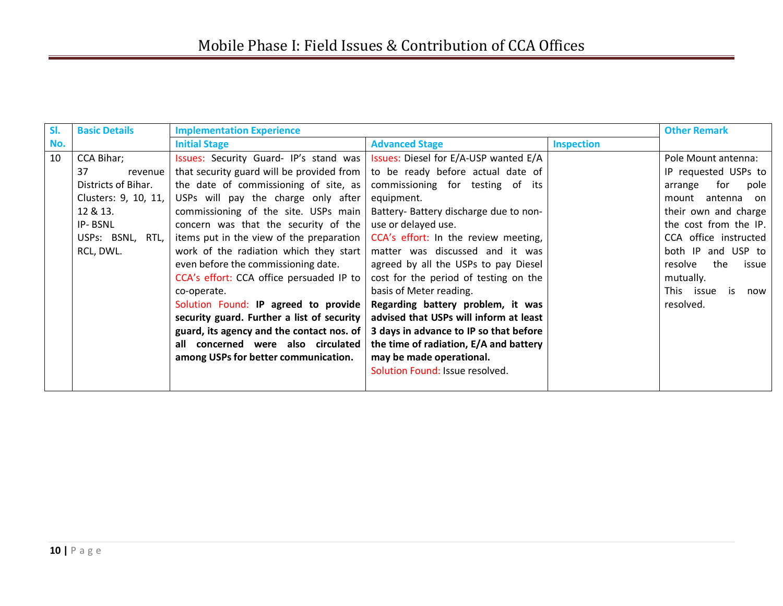| SI. | <b>Basic Details</b>  | <b>Implementation Experience</b>           |                                        |                   | <b>Other Remark</b>     |
|-----|-----------------------|--------------------------------------------|----------------------------------------|-------------------|-------------------------|
| No. |                       | <b>Initial Stage</b>                       | <b>Advanced Stage</b>                  | <b>Inspection</b> |                         |
| 10  | <b>CCA Bihar;</b>     | Issues: Security Guard-IP's stand was      | Issues: Diesel for E/A-USP wanted E/A  |                   | Pole Mount antenna:     |
|     | 37<br>revenue         | that security guard will be provided from  | to be ready before actual date of      |                   | IP requested USPs to    |
|     | Districts of Bihar.   | the date of commissioning of site, as      | commissioning for testing of its       |                   | for<br>pole<br>arrange  |
|     | Clusters: 9, 10, 11,  | USPs will pay the charge only after        | equipment.                             |                   | antenna on<br>mount     |
|     | 12 & 13.              | commissioning of the site. USPs main       | Battery- Battery discharge due to non- |                   | their own and charge    |
|     | IP-BSNL               | concern was that the security of the       | use or delayed use.                    |                   | the cost from the IP.   |
|     | USPs: BSNL,<br>RTL, I | items put in the view of the preparation   | CCA's effort: In the review meeting,   |                   | CCA office instructed   |
|     | RCL, DWL.             | work of the radiation which they start     | matter was discussed and it was        |                   | both IP and USP to      |
|     |                       | even before the commissioning date.        | agreed by all the USPs to pay Diesel   |                   | the<br>resolve<br>issue |
|     |                       | CCA's effort: CCA office persuaded IP to   | cost for the period of testing on the  |                   | mutually.               |
|     |                       | co-operate.                                | basis of Meter reading.                |                   | This issue is<br>now    |
|     |                       | Solution Found: IP agreed to provide       | Regarding battery problem, it was      |                   | resolved.               |
|     |                       | security guard. Further a list of security | advised that USPs will inform at least |                   |                         |
|     |                       | guard, its agency and the contact nos. of  | 3 days in advance to IP so that before |                   |                         |
|     |                       | all concerned were also circulated         | the time of radiation, E/A and battery |                   |                         |
|     |                       | among USPs for better communication.       | may be made operational.               |                   |                         |
|     |                       |                                            | Solution Found: Issue resolved.        |                   |                         |
|     |                       |                                            |                                        |                   |                         |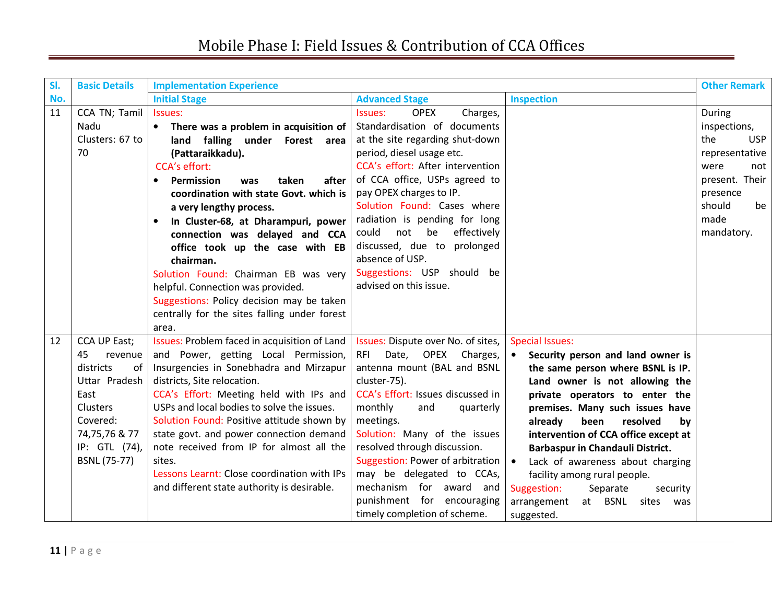| SI. | <b>Basic Details</b>                                                                                                                                              | <b>Implementation Experience</b>                                                                                                                                                                                                                                                                                                                                                                                                                                                                                                                                        |                                                                                                                                                                                                                                                                                                                                                                                                                                                |                                                                                                                                                                                                                                                                                                                                                                                                                                                                                                       | <b>Other Remark</b>                                                                                                                              |
|-----|-------------------------------------------------------------------------------------------------------------------------------------------------------------------|-------------------------------------------------------------------------------------------------------------------------------------------------------------------------------------------------------------------------------------------------------------------------------------------------------------------------------------------------------------------------------------------------------------------------------------------------------------------------------------------------------------------------------------------------------------------------|------------------------------------------------------------------------------------------------------------------------------------------------------------------------------------------------------------------------------------------------------------------------------------------------------------------------------------------------------------------------------------------------------------------------------------------------|-------------------------------------------------------------------------------------------------------------------------------------------------------------------------------------------------------------------------------------------------------------------------------------------------------------------------------------------------------------------------------------------------------------------------------------------------------------------------------------------------------|--------------------------------------------------------------------------------------------------------------------------------------------------|
| No. |                                                                                                                                                                   | <b>Initial Stage</b>                                                                                                                                                                                                                                                                                                                                                                                                                                                                                                                                                    | <b>Advanced Stage</b>                                                                                                                                                                                                                                                                                                                                                                                                                          | <b>Inspection</b>                                                                                                                                                                                                                                                                                                                                                                                                                                                                                     |                                                                                                                                                  |
| 11  | CCA TN; Tamil<br>Nadu<br>Clusters: 67 to<br>70                                                                                                                    | Issues:<br>There was a problem in acquisition of<br>land falling under Forest area<br>(Pattaraikkadu).<br><b>CCA's effort:</b><br>Permission<br>after<br>taken<br>$\bullet$<br>was<br>coordination with state Govt. which is<br>a very lengthy process.<br>In Cluster-68, at Dharampuri, power<br>$\bullet$<br>connection was delayed and CCA<br>office took up the case with EB<br>chairman.<br>Solution Found: Chairman EB was very<br>helpful. Connection was provided.<br>Suggestions: Policy decision may be taken<br>centrally for the sites falling under forest | <b>OPEX</b><br>Charges,<br>Issues:<br>Standardisation of documents<br>at the site regarding shut-down<br>period, diesel usage etc.<br>CCA's effort: After intervention<br>of CCA office, USPs agreed to<br>pay OPEX charges to IP.<br>Solution Found: Cases where<br>radiation is pending for long<br>not be<br>effectively<br>could<br>discussed, due to prolonged<br>absence of USP.<br>Suggestions: USP should be<br>advised on this issue. |                                                                                                                                                                                                                                                                                                                                                                                                                                                                                                       | During<br>inspections,<br>the<br><b>USP</b><br>representative<br>were<br>not<br>present. Their<br>presence<br>should<br>be<br>made<br>mandatory. |
| 12  | CCA UP East;<br>45<br>revenue<br>districts<br>of<br>Uttar Pradesh<br>East<br><b>Clusters</b><br>Covered:<br>74,75,76 & 77<br>IP: GTL (74),<br><b>BSNL (75-77)</b> | area.<br>Issues: Problem faced in acquisition of Land<br>and Power, getting Local Permission,<br>Insurgencies in Sonebhadra and Mirzapur<br>districts, Site relocation.<br>CCA's Effort: Meeting held with IPs and<br>USPs and local bodies to solve the issues.<br>Solution Found: Positive attitude shown by<br>state govt. and power connection demand<br>note received from IP for almost all the<br>sites.<br>Lessons Learnt: Close coordination with IPs<br>and different state authority is desirable.                                                           | Issues: Dispute over No. of sites,<br>Date, OPEX<br>Charges,<br>RFI<br>antenna mount (BAL and BSNL<br>cluster-75).<br>CCA's Effort: Issues discussed in<br>monthly<br>and<br>quarterly<br>meetings.<br>Solution: Many of the issues<br>resolved through discussion.<br>Suggestion: Power of arbitration<br>may be delegated to CCAs,<br>mechanism for award and<br>punishment for encouraging<br>timely completion of scheme.                  | <b>Special Issues:</b><br>Security person and land owner is<br>the same person where BSNL is IP.<br>Land owner is not allowing the<br>private operators to enter the<br>premises. Many such issues have<br>already<br>been<br>resolved<br>by<br>intervention of CCA office except at<br>Barbaspur in Chandauli District.<br>Lack of awareness about charging<br>$\bullet$<br>facility among rural people.<br>Suggestion:<br>Separate<br>security<br>arrangement<br>at BSNL sites<br>was<br>suggested. |                                                                                                                                                  |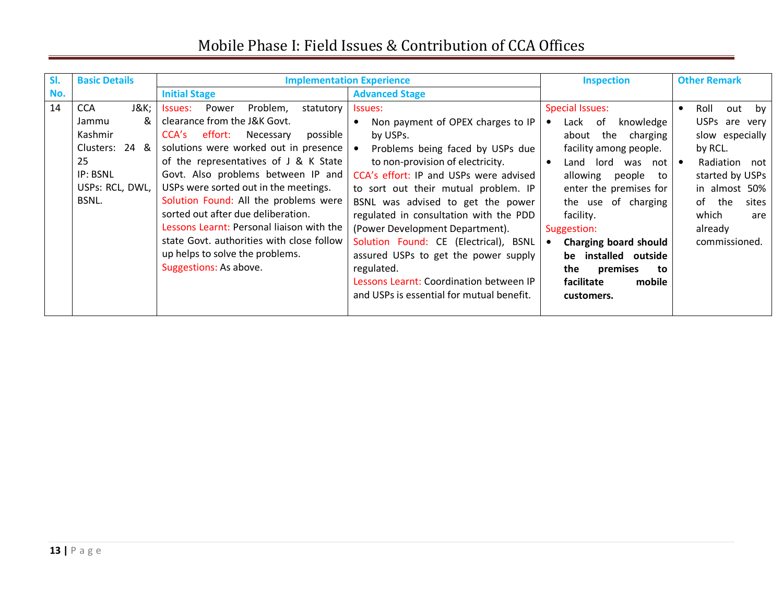| SI. | <b>Basic Details</b>                                                                                       |                                                                                                                                                                                                                                                                                                                                                                                                                                                                                                                               | <b>Implementation Experience</b>                                                                                                                                                                                                                                                                                                                                                                                                                                                                                                                      | <b>Inspection</b>                                                                                                                                                                                                                                                                                                                                         | <b>Other Remark</b>                                                                                                                                                                                            |
|-----|------------------------------------------------------------------------------------------------------------|-------------------------------------------------------------------------------------------------------------------------------------------------------------------------------------------------------------------------------------------------------------------------------------------------------------------------------------------------------------------------------------------------------------------------------------------------------------------------------------------------------------------------------|-------------------------------------------------------------------------------------------------------------------------------------------------------------------------------------------------------------------------------------------------------------------------------------------------------------------------------------------------------------------------------------------------------------------------------------------------------------------------------------------------------------------------------------------------------|-----------------------------------------------------------------------------------------------------------------------------------------------------------------------------------------------------------------------------------------------------------------------------------------------------------------------------------------------------------|----------------------------------------------------------------------------------------------------------------------------------------------------------------------------------------------------------------|
| No. |                                                                                                            | <b>Initial Stage</b>                                                                                                                                                                                                                                                                                                                                                                                                                                                                                                          | <b>Advanced Stage</b>                                                                                                                                                                                                                                                                                                                                                                                                                                                                                                                                 |                                                                                                                                                                                                                                                                                                                                                           |                                                                                                                                                                                                                |
| 14  | J&K<br><b>CCA</b><br>&<br>Jammu<br>Kashmir<br>Clusters: 24 &<br>25<br>IP: BSNL<br>USPs: RCL, DWL,<br>BSNL. | Power<br>Problem,<br>statutory<br>Issues:<br>clearance from the J&K Govt.<br>effort:<br>Necessary<br>possible<br>CCA's<br>solutions were worked out in presence<br>of the representatives of J & K State<br>Govt. Also problems between IP and<br>USPs were sorted out in the meetings.<br>Solution Found: All the problems were<br>sorted out after due deliberation.<br>Lessons Learnt: Personal liaison with the<br>state Govt. authorities with close follow<br>up helps to solve the problems.<br>Suggestions: As above. | Issues:<br>Non payment of OPEX charges to IP<br>$\bullet$<br>by USPs.<br>$\bullet$<br>Problems being faced by USPs due<br>to non-provision of electricity.<br>CCA's effort: IP and USPs were advised<br>to sort out their mutual problem. IP<br>BSNL was advised to get the power<br>regulated in consultation with the PDD<br>(Power Development Department).<br>Solution Found: CE (Electrical), BSNL<br>assured USPs to get the power supply<br>regulated.<br>Lessons Learnt: Coordination between IP<br>and USPs is essential for mutual benefit. | <b>Special Issues:</b><br>knowledge<br>Lack of<br>about the charging<br>facility among people.<br>Land lord was not<br>$\bullet$<br>allowing<br>people<br>to<br>enter the premises for<br>the use of charging<br>facility.<br>Suggestion:<br>Charging board should<br>be installed outside<br>premises<br>the<br>to<br>facilitate<br>mobile<br>customers. | Roll<br>out by<br>$\bullet$<br>USPs are very<br>slow especially<br>by RCL.<br>Radiation not<br>$\bullet$<br>started by USPs<br>in almost 50%<br>of<br>the<br>sites<br>which<br>are<br>already<br>commissioned. |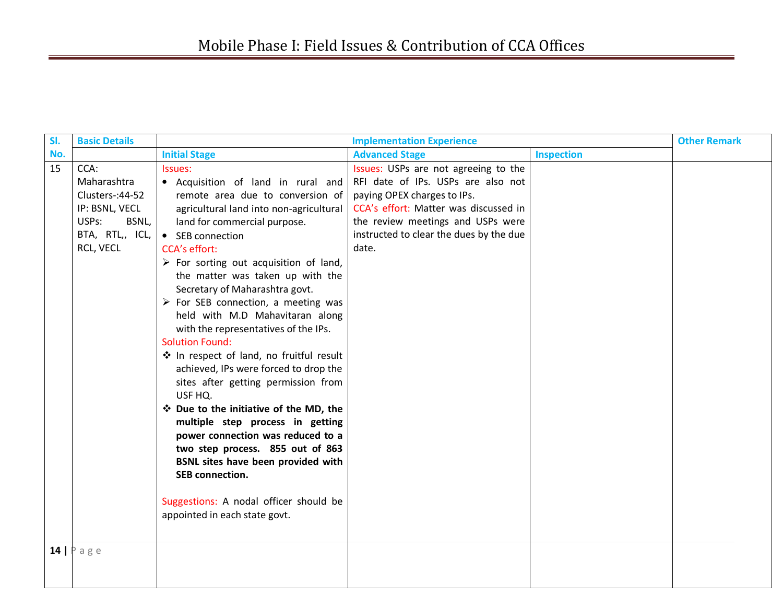| SI. | <b>Basic Details</b>                                                                                        |                                                                                                                                                                                                                                                                                                                                                                                                                                                                                                                                                                                                                                                                                                                                                                                                                                                                                                                                             | <b>Implementation Experience</b>                                                                                                                                                                                                            |                   | <b>Other Remark</b> |
|-----|-------------------------------------------------------------------------------------------------------------|---------------------------------------------------------------------------------------------------------------------------------------------------------------------------------------------------------------------------------------------------------------------------------------------------------------------------------------------------------------------------------------------------------------------------------------------------------------------------------------------------------------------------------------------------------------------------------------------------------------------------------------------------------------------------------------------------------------------------------------------------------------------------------------------------------------------------------------------------------------------------------------------------------------------------------------------|---------------------------------------------------------------------------------------------------------------------------------------------------------------------------------------------------------------------------------------------|-------------------|---------------------|
| No. |                                                                                                             | <b>Initial Stage</b>                                                                                                                                                                                                                                                                                                                                                                                                                                                                                                                                                                                                                                                                                                                                                                                                                                                                                                                        | <b>Advanced Stage</b>                                                                                                                                                                                                                       | <b>Inspection</b> |                     |
| 15  | CCA:<br>Maharashtra<br>Clusters-: 44-52<br>IP: BSNL, VECL<br>USPs:<br>BSNL,<br>BTA, RTL,, ICL,<br>RCL, VECL | Issues:<br>• Acquisition of land in rural and<br>remote area due to conversion of<br>agricultural land into non-agricultural<br>land for commercial purpose.<br>• SEB connection<br><b>CCA's effort:</b><br>$\triangleright$ For sorting out acquisition of land,<br>the matter was taken up with the<br>Secretary of Maharashtra govt.<br>$\triangleright$ For SEB connection, a meeting was<br>held with M.D Mahavitaran along<br>with the representatives of the IPs.<br><b>Solution Found:</b><br>❖ In respect of land, no fruitful result<br>achieved, IPs were forced to drop the<br>sites after getting permission from<br>USF HQ.<br>❖ Due to the initiative of the MD, the<br>multiple step process in getting<br>power connection was reduced to a<br>two step process. 855 out of 863<br>BSNL sites have been provided with<br><b>SEB</b> connection.<br>Suggestions: A nodal officer should be<br>appointed in each state govt. | Issues: USPs are not agreeing to the<br>RFI date of IPs. USPs are also not<br>paying OPEX charges to IPs.<br>CCA's effort: Matter was discussed in<br>the review meetings and USPs were<br>instructed to clear the dues by the due<br>date. |                   |                     |
|     | $14$   P a g e                                                                                              |                                                                                                                                                                                                                                                                                                                                                                                                                                                                                                                                                                                                                                                                                                                                                                                                                                                                                                                                             |                                                                                                                                                                                                                                             |                   |                     |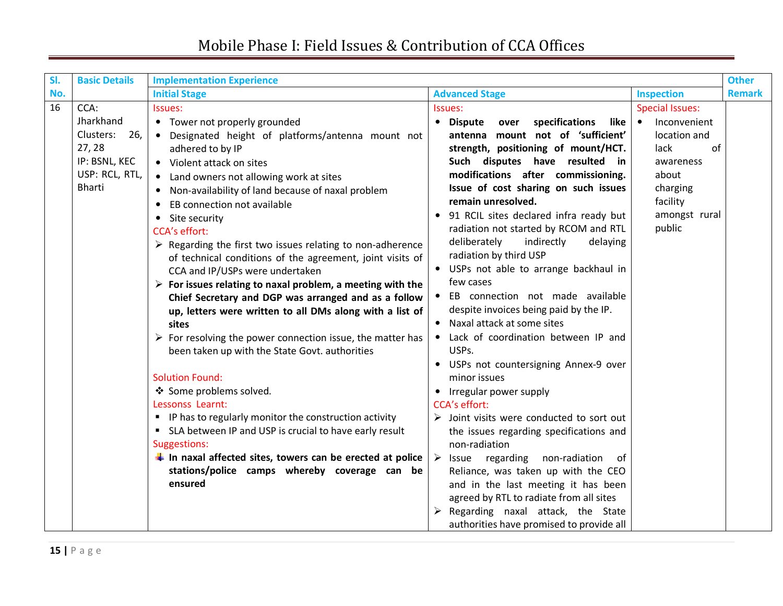| SI. | <b>Basic Details</b>                                                                         | <b>Implementation Experience</b>                                                                                                                                                                                                                                                                                                                                                                                                                                                                                                                                                                                                                                                                                                                                                                                                                         |                                                                                                                                                                                                                                                                                                                                                                                                                                                                                                                                                                                                                                                                 |                                                                                                                                                            | <b>Other</b>  |
|-----|----------------------------------------------------------------------------------------------|----------------------------------------------------------------------------------------------------------------------------------------------------------------------------------------------------------------------------------------------------------------------------------------------------------------------------------------------------------------------------------------------------------------------------------------------------------------------------------------------------------------------------------------------------------------------------------------------------------------------------------------------------------------------------------------------------------------------------------------------------------------------------------------------------------------------------------------------------------|-----------------------------------------------------------------------------------------------------------------------------------------------------------------------------------------------------------------------------------------------------------------------------------------------------------------------------------------------------------------------------------------------------------------------------------------------------------------------------------------------------------------------------------------------------------------------------------------------------------------------------------------------------------------|------------------------------------------------------------------------------------------------------------------------------------------------------------|---------------|
| No. |                                                                                              | <b>Initial Stage</b>                                                                                                                                                                                                                                                                                                                                                                                                                                                                                                                                                                                                                                                                                                                                                                                                                                     | <b>Advanced Stage</b>                                                                                                                                                                                                                                                                                                                                                                                                                                                                                                                                                                                                                                           | <b>Inspection</b>                                                                                                                                          | <b>Remark</b> |
| 16  | CCA:<br>Jharkhand<br>Clusters:<br>26,<br>27, 28<br>IP: BSNL, KEC<br>USP: RCL, RTL,<br>Bharti | Issues:<br>• Tower not properly grounded<br>• Designated height of platforms/antenna mount not<br>adhered to by IP<br>• Violent attack on sites<br>• Land owners not allowing work at sites<br>• Non-availability of land because of naxal problem<br>EB connection not available<br>$\bullet$<br>• Site security<br>CCA's effort:<br>$\triangleright$ Regarding the first two issues relating to non-adherence<br>of technical conditions of the agreement, joint visits of<br>CCA and IP/USPs were undertaken<br>$\triangleright$ For issues relating to naxal problem, a meeting with the<br>Chief Secretary and DGP was arranged and as a follow<br>up, letters were written to all DMs along with a list of<br>sites<br>$\triangleright$ For resolving the power connection issue, the matter has<br>been taken up with the State Govt. authorities | Issues:<br>specifications<br>• Dispute<br>like<br>over<br>antenna mount not of 'sufficient'<br>strength, positioning of mount/HCT.<br>Such disputes have resulted in<br>modifications after commissioning.<br>Issue of cost sharing on such issues<br>remain unresolved.<br>91 RCIL sites declared infra ready but<br>radiation not started by RCOM and RTL<br>deliberately<br>indirectly<br>delaying<br>radiation by third USP<br>• USPs not able to arrange backhaul in<br>few cases<br>EB connection not made available<br>despite invoices being paid by the IP.<br>Naxal attack at some sites<br>$\bullet$<br>Lack of coordination between IP and<br>USPs. | <b>Special Issues:</b><br>Inconvenient<br>$\bullet$<br>location and<br>lack<br>of<br>awareness<br>about<br>charging<br>facility<br>amongst rural<br>public |               |
|     |                                                                                              | <b>Solution Found:</b><br>❖ Some problems solved.<br>Lessonss Learnt:<br>• IP has to regularly monitor the construction activity<br>" SLA between IP and USP is crucial to have early result<br>Suggestions:<br>$\frac{1}{2}$ In naxal affected sites, towers can be erected at police<br>stations/police camps whereby coverage can be<br>ensured                                                                                                                                                                                                                                                                                                                                                                                                                                                                                                       | USPs not countersigning Annex-9 over<br>minor issues<br>Irregular power supply<br><b>CCA's effort:</b><br>$\triangleright$ Joint visits were conducted to sort out<br>the issues regarding specifications and<br>non-radiation<br>Issue regarding non-radiation<br>$\rightarrow$<br>of<br>Reliance, was taken up with the CEO<br>and in the last meeting it has been<br>agreed by RTL to radiate from all sites<br>Regarding naxal attack, the State<br>authorities have promised to provide all                                                                                                                                                                |                                                                                                                                                            |               |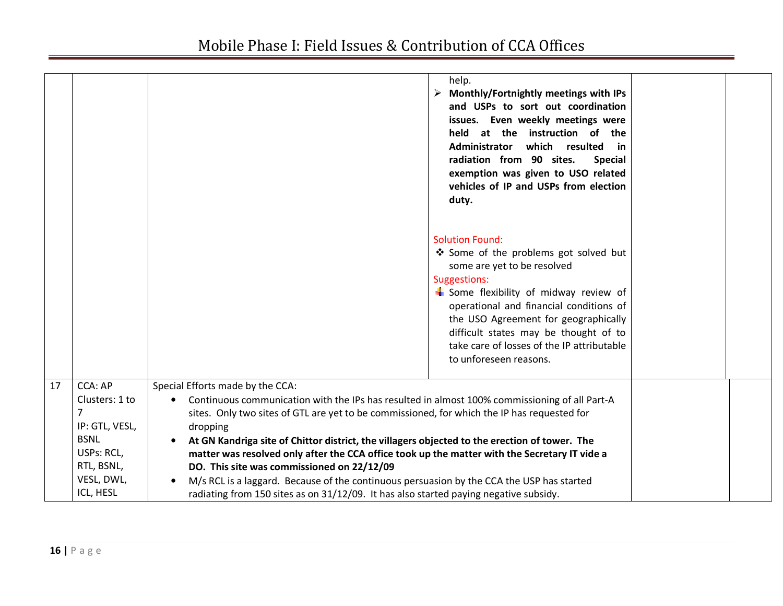|    |                                                                                                                               | help.<br>$\triangleright$ Monthly/Fortnightly meetings with IPs<br>and USPs to sort out coordination<br>issues. Even weekly meetings were<br>held at the instruction of the<br>which resulted<br>Administrator<br>in in<br>radiation from 90 sites.<br><b>Special</b><br>exemption was given to USO related<br>vehicles of IP and USPs from election<br>duty.                                                                                                                                                                                                                                                                                                                      |  |
|----|-------------------------------------------------------------------------------------------------------------------------------|------------------------------------------------------------------------------------------------------------------------------------------------------------------------------------------------------------------------------------------------------------------------------------------------------------------------------------------------------------------------------------------------------------------------------------------------------------------------------------------------------------------------------------------------------------------------------------------------------------------------------------------------------------------------------------|--|
|    |                                                                                                                               | <b>Solution Found:</b><br>❖ Some of the problems got solved but<br>some are yet to be resolved<br><b>Suggestions:</b><br>Some flexibility of midway review of<br>operational and financial conditions of<br>the USO Agreement for geographically<br>difficult states may be thought of to<br>take care of losses of the IP attributable<br>to unforeseen reasons.                                                                                                                                                                                                                                                                                                                  |  |
| 17 | <b>CCA: AP</b><br>Clusters: 1 to<br>7<br>IP: GTL, VESL,<br><b>BSNL</b><br>USPs: RCL,<br>RTL, BSNL,<br>VESL, DWL,<br>ICL, HESL | Special Efforts made by the CCA:<br>Continuous communication with the IPs has resulted in almost 100% commissioning of all Part-A<br>sites. Only two sites of GTL are yet to be commissioned, for which the IP has requested for<br>dropping<br>At GN Kandriga site of Chittor district, the villagers objected to the erection of tower. The<br>matter was resolved only after the CCA office took up the matter with the Secretary IT vide a<br>DO. This site was commissioned on 22/12/09<br>M/s RCL is a laggard. Because of the continuous persuasion by the CCA the USP has started<br>radiating from 150 sites as on 31/12/09. It has also started paying negative subsidy. |  |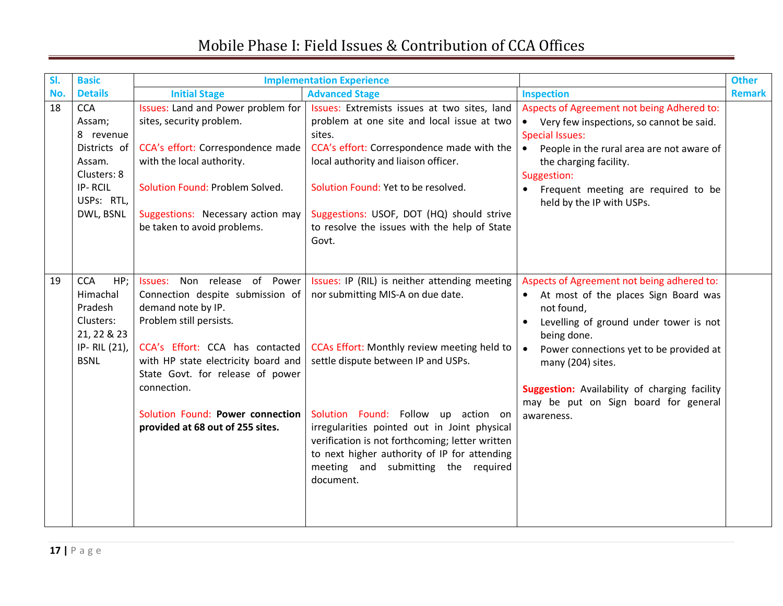| SI. | <b>Basic</b>                                                                                                     | <b>Implementation Experience</b>                                                                                                                                                                                                                                                                                       |                                                                                                                                                                                                                                                                                                                                                                                                                        |                                                                                                                                                                                                                                                                                                                                                            | <b>Other</b>  |
|-----|------------------------------------------------------------------------------------------------------------------|------------------------------------------------------------------------------------------------------------------------------------------------------------------------------------------------------------------------------------------------------------------------------------------------------------------------|------------------------------------------------------------------------------------------------------------------------------------------------------------------------------------------------------------------------------------------------------------------------------------------------------------------------------------------------------------------------------------------------------------------------|------------------------------------------------------------------------------------------------------------------------------------------------------------------------------------------------------------------------------------------------------------------------------------------------------------------------------------------------------------|---------------|
| No. | <b>Details</b>                                                                                                   | <b>Initial Stage</b>                                                                                                                                                                                                                                                                                                   | <b>Advanced Stage</b>                                                                                                                                                                                                                                                                                                                                                                                                  | <b>Inspection</b>                                                                                                                                                                                                                                                                                                                                          | <b>Remark</b> |
| 18  | <b>CCA</b><br>Assam;<br>8 revenue<br>Districts of<br>Assam.<br>Clusters: 8<br>IP-RCIL<br>USPs: RTL,<br>DWL, BSNL | Issues: Land and Power problem for<br>sites, security problem.<br>CCA's effort: Correspondence made<br>with the local authority.<br>Solution Found: Problem Solved.<br>Suggestions: Necessary action may<br>be taken to avoid problems.                                                                                | Issues: Extremists issues at two sites, land<br>problem at one site and local issue at two<br>sites.<br>CCA's effort: Correspondence made with the<br>local authority and liaison officer.<br>Solution Found: Yet to be resolved.<br>Suggestions: USOF, DOT (HQ) should strive<br>to resolve the issues with the help of State<br>Govt.                                                                                | Aspects of Agreement not being Adhered to:<br>Very few inspections, so cannot be said.<br>$\bullet$<br><b>Special Issues:</b><br>People in the rural area are not aware of<br>$\bullet$<br>the charging facility.<br>Suggestion:<br>Frequent meeting are required to be<br>$\bullet$<br>held by the IP with USPs.                                          |               |
| 19  | <b>CCA</b><br>HP;<br>Himachal<br>Pradesh<br>Clusters:<br>21, 22 & 23<br>IP-RIL (21),<br><b>BSNL</b>              | Issues: Non release of Power<br>Connection despite submission of<br>demand note by IP.<br>Problem still persists.<br>CCA's Effort: CCA has contacted<br>with HP state electricity board and<br>State Govt. for release of power<br>connection.<br>Solution Found: Power connection<br>provided at 68 out of 255 sites. | Issues: IP (RIL) is neither attending meeting<br>nor submitting MIS-A on due date.<br>CCAs Effort: Monthly review meeting held to<br>settle dispute between IP and USPs.<br>Solution Found: Follow up action on<br>irregularities pointed out in Joint physical<br>verification is not forthcoming; letter written<br>to next higher authority of IP for attending<br>meeting and submitting the required<br>document. | Aspects of Agreement not being adhered to:<br>At most of the places Sign Board was<br>$\bullet$<br>not found,<br>Levelling of ground under tower is not<br>being done.<br>Power connections yet to be provided at<br>$\bullet$<br>many (204) sites.<br>Suggestion: Availability of charging facility<br>may be put on Sign board for general<br>awareness. |               |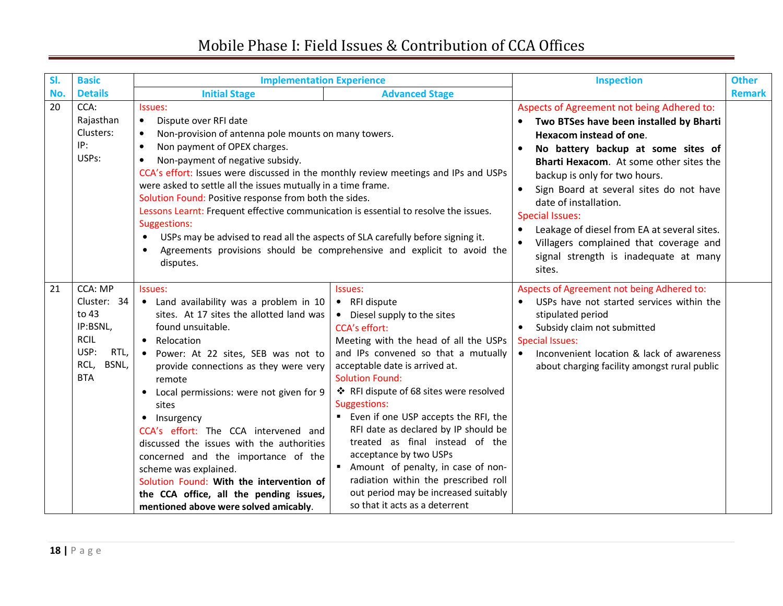| SI. | <b>Basic</b>                                                                                              | <b>Implementation Experience</b>                                                                                                                                                                                                                                                                                                                                                                                                                                                                                                                                                                                                                        |                                                                                                                                                                                                                                                                                                                                                                                                                                                                                                                                                                                              | <b>Inspection</b>                                                                                                                                                                                                                                                                                                                                                                                                                                                                         | <b>Other</b>  |
|-----|-----------------------------------------------------------------------------------------------------------|---------------------------------------------------------------------------------------------------------------------------------------------------------------------------------------------------------------------------------------------------------------------------------------------------------------------------------------------------------------------------------------------------------------------------------------------------------------------------------------------------------------------------------------------------------------------------------------------------------------------------------------------------------|----------------------------------------------------------------------------------------------------------------------------------------------------------------------------------------------------------------------------------------------------------------------------------------------------------------------------------------------------------------------------------------------------------------------------------------------------------------------------------------------------------------------------------------------------------------------------------------------|-------------------------------------------------------------------------------------------------------------------------------------------------------------------------------------------------------------------------------------------------------------------------------------------------------------------------------------------------------------------------------------------------------------------------------------------------------------------------------------------|---------------|
| No. | <b>Details</b>                                                                                            | <b>Initial Stage</b>                                                                                                                                                                                                                                                                                                                                                                                                                                                                                                                                                                                                                                    | <b>Advanced Stage</b>                                                                                                                                                                                                                                                                                                                                                                                                                                                                                                                                                                        |                                                                                                                                                                                                                                                                                                                                                                                                                                                                                           | <b>Remark</b> |
| 20  | CCA:<br>Rajasthan<br>Clusters:<br>IP:<br>USPs:                                                            | Issues:<br>Dispute over RFI date<br>$\bullet$<br>Non-provision of antenna pole mounts on many towers.<br>Non payment of OPEX charges.<br>$\bullet$<br>Non-payment of negative subsidy.<br>$\bullet$<br>CCA's effort: Issues were discussed in the monthly review meetings and IPs and USPs<br>were asked to settle all the issues mutually in a time frame.<br>Solution Found: Positive response from both the sides.<br>Lessons Learnt: Frequent effective communication is essential to resolve the issues.<br>Suggestions:<br>USPs may be advised to read all the aspects of SLA carefully before signing it.<br>$\bullet$<br>$\bullet$<br>disputes. | Agreements provisions should be comprehensive and explicit to avoid the                                                                                                                                                                                                                                                                                                                                                                                                                                                                                                                      | Aspects of Agreement not being Adhered to:<br>Two BTSes have been installed by Bharti<br>$\bullet$<br>Hexacom instead of one.<br>No battery backup at some sites of<br>Bharti Hexacom. At some other sites the<br>backup is only for two hours.<br>Sign Board at several sites do not have<br>date of installation.<br><b>Special Issues:</b><br>Leakage of diesel from EA at several sites.<br>Villagers complained that coverage and<br>signal strength is inadequate at many<br>sites. |               |
| 21  | CCA: MP<br>Cluster: 34<br>to 43<br>IP:BSNL,<br><b>RCIL</b><br>USP:<br>RTL,<br>BSNL,<br>RCL,<br><b>BTA</b> | Issues:<br>• Land availability was a problem in 10<br>sites. At 17 sites the allotted land was<br>found unsuitable.<br>• Relocation<br>• Power: At 22 sites, SEB was not to<br>provide connections as they were very<br>remote<br>Local permissions: were not given for 9<br>sites<br>• Insurgency<br>CCA's effort: The CCA intervened and<br>discussed the issues with the authorities<br>concerned and the importance of the<br>scheme was explained.<br>Solution Found: With the intervention of<br>the CCA office, all the pending issues,<br>mentioned above were solved amicably.                                                                 | Issues:<br>• RFI dispute<br>• Diesel supply to the sites<br><b>CCA's effort:</b><br>Meeting with the head of all the USPs<br>and IPs convened so that a mutually<br>acceptable date is arrived at.<br><b>Solution Found:</b><br>❖ RFI dispute of 68 sites were resolved<br>Suggestions:<br>Even if one USP accepts the RFI, the<br>RFI date as declared by IP should be<br>treated as final instead of the<br>acceptance by two USPs<br>Amount of penalty, in case of non-<br>radiation within the prescribed roll<br>out period may be increased suitably<br>so that it acts as a deterrent | Aspects of Agreement not being Adhered to:<br>USPs have not started services within the<br>stipulated period<br>Subsidy claim not submitted<br><b>Special Issues:</b><br>Inconvenient location & lack of awareness<br>$\bullet$<br>about charging facility amongst rural public                                                                                                                                                                                                           |               |